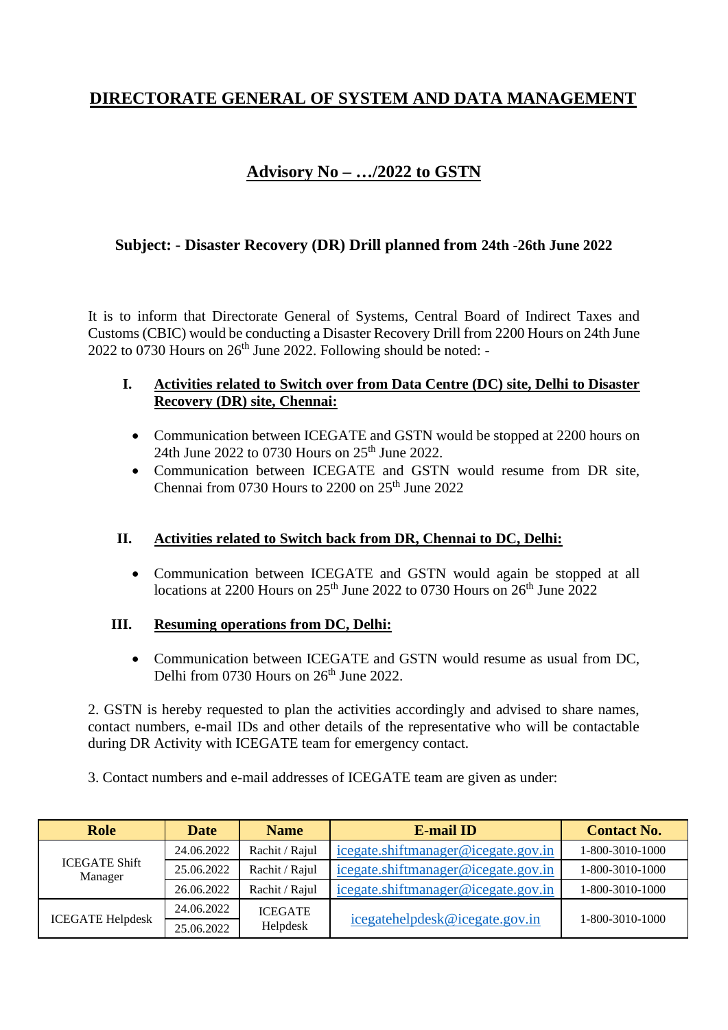# **DIRECTORATE GENERAL OF SYSTEM AND DATA MANAGEMENT**

# **Advisory No – …/2022 to GSTN**

## **Subject: - Disaster Recovery (DR) Drill planned from 24th -26th June 2022**

It is to inform that Directorate General of Systems, Central Board of Indirect Taxes and Customs (CBIC) would be conducting a Disaster Recovery Drill from 2200 Hours on 24th June  $2022$  to 0730 Hours on  $26<sup>th</sup>$  June 2022. Following should be noted: -

### **I. Activities related to Switch over from Data Centre (DC) site, Delhi to Disaster Recovery (DR) site, Chennai:**

- Communication between ICEGATE and GSTN would be stopped at 2200 hours on 24th June 2022 to 0730 Hours on 25th June 2022.
- Communication between ICEGATE and GSTN would resume from DR site, Chennai from 0730 Hours to  $2200$  on  $25<sup>th</sup>$  June  $2022$

### **II. Activities related to Switch back from DR, Chennai to DC, Delhi:**

• Communication between ICEGATE and GSTN would again be stopped at all locations at 2200 Hours on  $25<sup>th</sup>$  June 2022 to 0730 Hours on  $26<sup>th</sup>$  June 2022

### **III. Resuming operations from DC, Delhi:**

• Communication between ICEGATE and GSTN would resume as usual from DC, Delhi from 0730 Hours on  $26<sup>th</sup>$  June 2022.

2. GSTN is hereby requested to plan the activities accordingly and advised to share names, contact numbers, e-mail IDs and other details of the representative who will be contactable during DR Activity with ICEGATE team for emergency contact.

3. Contact numbers and e-mail addresses of ICEGATE team are given as under:

| <b>Role</b>                     | <b>Date</b> | <b>Name</b>                | <b>E-mail ID</b>                    | <b>Contact No.</b> |
|---------------------------------|-------------|----------------------------|-------------------------------------|--------------------|
| <b>ICEGATE Shift</b><br>Manager | 24.06.2022  | Rachit / Rajul             | icegate.shiftmanager@icegate.gov.in | 1-800-3010-1000    |
|                                 | 25.06.2022  | Rachit / Rajul             | icegate.shiftmanager@icegate.gov.in | 1-800-3010-1000    |
|                                 | 26.06.2022  | Rachit / Rajul             | icegate.shiftmanager@icegate.gov.in | 1-800-3010-1000    |
| <b>ICEGATE Helpdesk</b>         | 24.06.2022  | <b>ICEGATE</b><br>Helpdesk | icegatehelpdesk@icegate.gov.in      | 1-800-3010-1000    |
|                                 | 25.06.2022  |                            |                                     |                    |